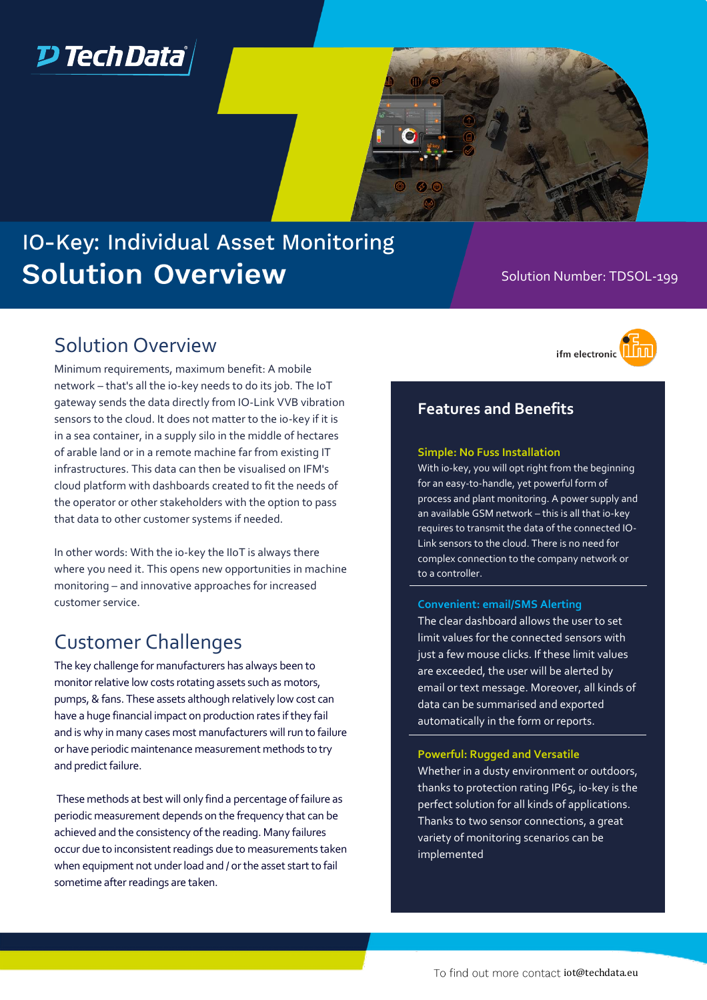

# IO-Key: Individual Asset Monitoring **Solution Overview**

### Solution Number: TDSOL-199

### Solution Overview

Minimum requirements, maximum benefit: A mobile network – that's all the io-key needs to do its job. The IoT gateway sends the data directly from IO-Link VVB vibration sensors to the cloud. It does not matter to the io-key if it is in a sea container, in a supply silo in the middle of hectares of arable land or in a remote machine far from existing IT infrastructures. This data can then be visualised on IFM's cloud platform with dashboards created to fit the needs of the operator or other stakeholders with the option to pass that data to other customer systems if needed.

In other words: With the io-key the IIoT is always there where you need it. This opens new opportunities in machine monitoring – and innovative approaches for increased customer service.

### Customer Challenges

The key challenge for manufacturers has always been to monitor relative low costs rotating assets such as motors, pumps, & fans. These assets although relatively low cost can have a huge financial impact on production rates if they fail and is why in many cases most manufacturers will run to failure or have periodic maintenance measurement methods to try and predict failure.

These methods at best will only find a percentage of failure as periodic measurement depends on the frequency that can be achieved and the consistency of the reading. Many failures occur due to inconsistent readings due to measurements taken when equipment not under load and / or the asset start to fail sometime after readings are taken.

ifm electronic

### **Features and Benefits**

#### **Simple: No Fuss Installation**

With io-key, you will opt right from the beginning for an easy-to-handle, yet powerful form of process and plant monitoring. A power supply and an available GSM network – this is all that io-key requires to transmit the data of the connected IO-Link sensors to the cloud. There is no need for complex connection to the company network or to a controller.

#### **Convenient: email/SMS Alerting**

The clear dashboard allows the user to set limit values for the connected sensors with just a few mouse clicks. If these limit values are exceeded, the user will be alerted by email or text message. Moreover, all kinds of data can be summarised and exported automatically in the form or reports.

#### **Powerful: Rugged and Versatile**

Whether in a dusty environment or outdoors, thanks to protection rating IP65, io-key is the perfect solution for all kinds of applications. Thanks to two sensor connections, a great variety of monitoring scenarios can be implemented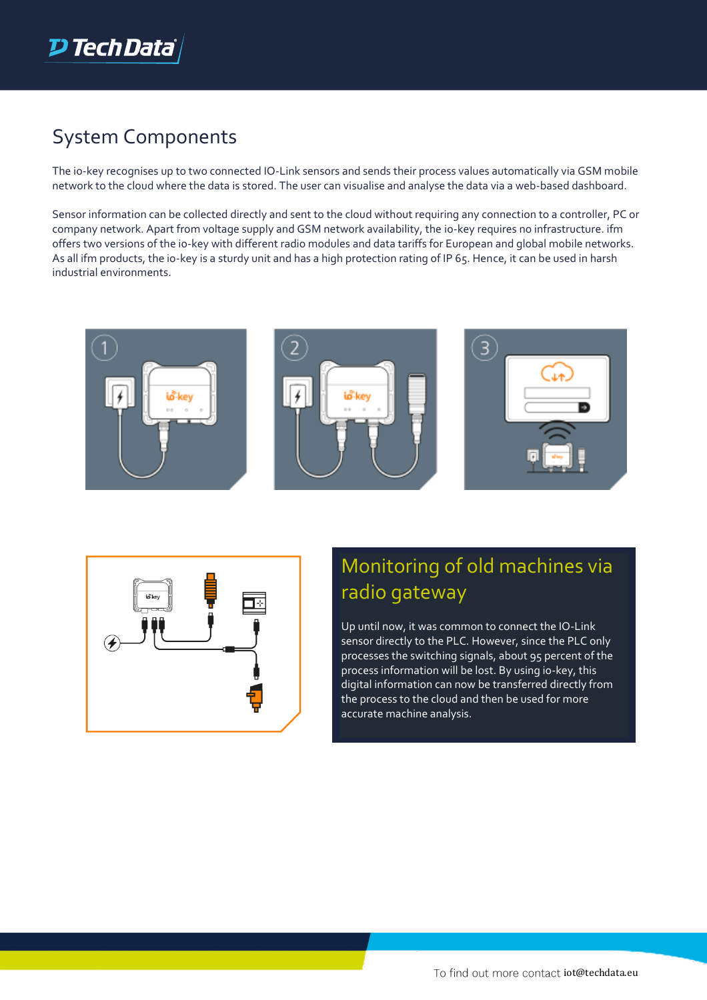

### System Components

The io-key recognises up to two connected IO-Link sensors and sends their process values automatically via GSM mobile network to the cloud where the data is stored. The user can visualise and analyse the data via a web-based dashboard.

Sensor information can be collected directly and sent to the cloud without requiring any connection to a controller, PC or company network. Apart from voltage supply and GSM network availability, the io-key requires no infrastructure. ifm offers two versions of the io-key with different radio modules and data tariffs for European and global mobile networks. As all ifm products, the io-key is a sturdy unit and has a high protection rating of IP 65. Hence, it can be used in harsh industrial environments.









# Monitoring of old machines via radio gateway

Up until now, it was common to connect the IO-Link sensor directly to the PLC. However, since the PLC only processes the switching signals, about 95 percent of the process information will be lost. By using io-key, this digital information can now be transferred directly from the process to the cloud and then be used for more accurate machine analysis.